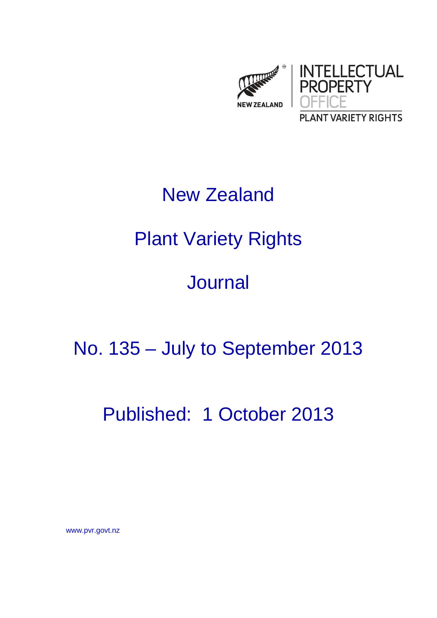

# New Zealand

## Plant Variety Rights

## Journal

## No. 135 – July to September 2013

### Published: 1 October 2013

www.pvr.govt.nz